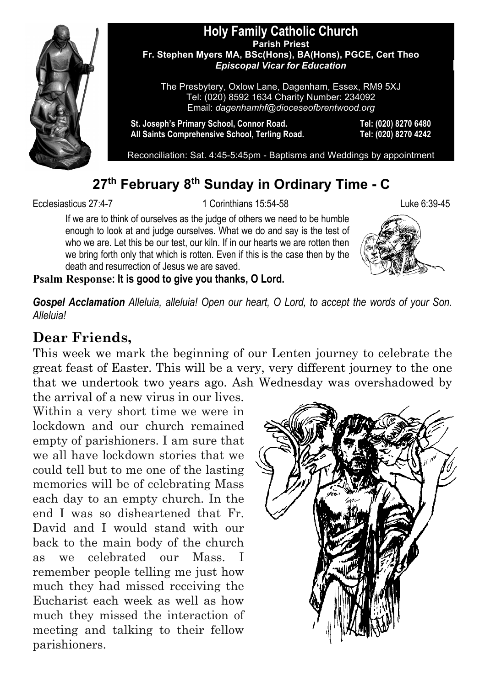

#### **Holy Family Catholic Church Parish Priest Fr. Stephen Myers MA, BSc(Hons), BA(Hons), PGCE, Cert Theo** *Episcopal Vicar for Education*

The Presbytery, Oxlow Lane, Dagenham, Essex, RM9 5XJ Tel: (020) 8592 1634 Charity Number: 234092 Email: *dagenhamhf@dioceseofbrentwood.org*

**St. Joseph's Primary School, Connor Road. Tel: (020) 8270 6480 All Saints Comprehensive School, Terling Road. Tel: (020) 8270 4242**

Reconciliation: Sat. 4:45-5:45pm - Baptisms and Weddings by appointment

# **27th February 8th Sunday in Ordinary Time - C**

Ecclesiasticus 27:4-7 1 Corinthians 15:54-58 Luke 6:39-45

If we are to think of ourselves as the judge of others we need to be humble enough to look at and judge ourselves. What we do and say is the test of who we are. Let this be our test, our kiln. If in our hearts we are rotten then we bring forth only that which is rotten. Even if this is the case then by the death and resurrection of Jesus we are saved.



**Psalm Response: It is good to give you thanks, O Lord.**

*Gospel Acclamation Alleluia, alleluia! Open our heart, O Lord, to accept the words of your Son. Alleluia!*

# **Dear Friends,**

This week we mark the beginning of our Lenten journey to celebrate the great feast of Easter. This will be a very, very different journey to the one that we undertook two years ago. Ash Wednesday was overshadowed by

the arrival of a new virus in our lives. Within a very short time we were in lockdown and our church remained empty of parishioners. I am sure that we all have lockdown stories that we could tell but to me one of the lasting memories will be of celebrating Mass each day to an empty church. In the end I was so disheartened that Fr. David and I would stand with our back to the main body of the church as we celebrated our Mass. I remember people telling me just how much they had missed receiving the Eucharist each week as well as how much they missed the interaction of meeting and talking to their fellow parishioners.

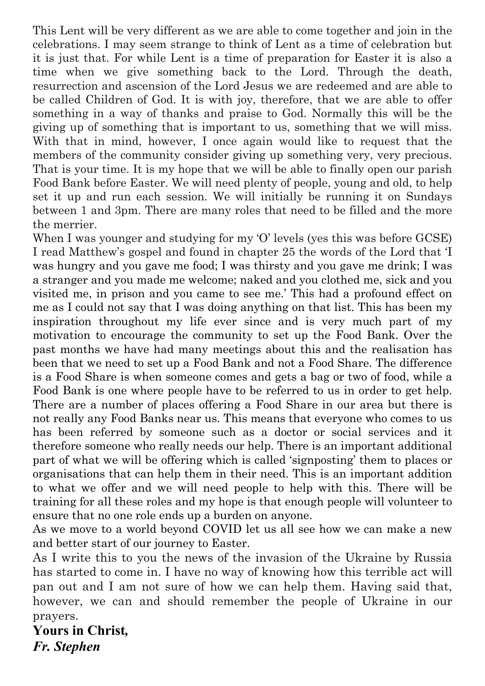This Lent will be very different as we are able to come together and join in the celebrations. I may seem strange to think of Lent as a time of celebration but it is just that. For while Lent is a time of preparation for Easter it is also a time when we give something back to the Lord. Through the death, resurrection and ascension of the Lord Jesus we are redeemed and are able to be called Children of God. It is with joy, therefore, that we are able to offer something in a way of thanks and praise to God. Normally this will be the giving up of something that is important to us, something that we will miss. With that in mind, however, I once again would like to request that the members of the community consider giving up something very, very precious. That is your time. It is my hope that we will be able to finally open our parish Food Bank before Easter. We will need plenty of people, young and old, to help set it up and run each session. We will initially be running it on Sundays between 1 and 3pm. There are many roles that need to be filled and the more the merrier.

When I was younger and studying for my 'O' levels (yes this was before GCSE) I read Matthew's gospel and found in chapter 25 the words of the Lord that 'I was hungry and you gave me food; I was thirsty and you gave me drink; I was a stranger and you made me welcome; naked and you clothed me, sick and you visited me, in prison and you came to see me.' This had a profound effect on me as I could not say that I was doing anything on that list. This has been my inspiration throughout my life ever since and is very much part of my motivation to encourage the community to set up the Food Bank. Over the past months we have had many meetings about this and the realisation has been that we need to set up a Food Bank and not a Food Share. The difference is a Food Share is when someone comes and gets a bag or two of food, while a Food Bank is one where people have to be referred to us in order to get help. There are a number of places offering a Food Share in our area but there is not really any Food Banks near us. This means that everyone who comes to us has been referred by someone such as a doctor or social services and it therefore someone who really needs our help. There is an important additional part of what we will be offering which is called 'signposting' them to places or organisations that can help them in their need. This is an important addition to what we offer and we will need people to help with this. There will be training for all these roles and my hope is that enough people will volunteer to ensure that no one role ends up a burden on anyone.

As we move to a world beyond COVID let us all see how we can make a new and better start of our journey to Easter.

As I write this to you the news of the invasion of the Ukraine by Russia has started to come in. I have no way of knowing how this terrible act will pan out and I am not sure of how we can help them. Having said that, however, we can and should remember the people of Ukraine in our prayers.

**Yours in Christ***, Fr. Stephen*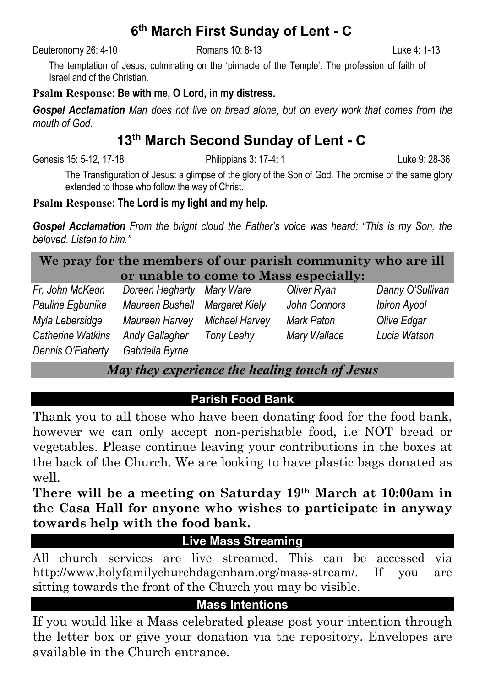# **6th March First Sunday of Lent - C**

Deuteronomy 26: 4-10 Romans 10: 8-13 Luke 4: 1-13

The temptation of Jesus, culminating on the 'pinnacle of the Temple'. The profession of faith of Israel and of the Christian.

# **Psalm Response: Be with me, O Lord, in my distress.**

*Gospel Acclamation Man does not live on bread alone, but on every work that comes from the mouth of God.*

# **13th March Second Sunday of Lent - C**

Genesis 15: 5-12, 17-18 Philippians 3: 17-4: 1 Luke 9: 28-36

The Transfiguration of Jesus: a glimpse of the glory of the Son of God. The promise of the same glory extended to those who follow the way of Christ.

# **Psalm Response: The Lord is my light and my help.**

*Gospel Acclamation From the bright cloud the Father's voice was heard: "This is my Son, the beloved. Listen to him."*

| We pray for the members of our parish community who are ill |                                       |  |             |         |  |
|-------------------------------------------------------------|---------------------------------------|--|-------------|---------|--|
|                                                             | or unable to come to Mass especially: |  |             |         |  |
| $Fr$ John McKoon                                            | Doroon Hoabarty Mary Waro             |  | Olivor Pyon | $D_{2}$ |  |

| Fr. John McKeon          | Doreen Hegharty Mary Ware |                | Oliver Ryan  | Danny O'Sullivan |
|--------------------------|---------------------------|----------------|--------------|------------------|
| Pauline Egbunike         | Maureen Bushell           | Margaret Kielv | John Connors | Ibiron Ayool     |
| Myla Lebersidge          | Maureen Harvev            | Michael Harvev | Mark Paton   | Olive Edgar      |
| <b>Catherine Watkins</b> | Andy Gallagher            | Tony Leahy     | Mary Wallace | Lucia Watson     |
| Dennis O'Flaherty        | Gabriella Byrne           |                |              |                  |

# *May they experience the healing touch of Jesus*

# **Parish Food Bank**

Thank you to all those who have been donating food for the food bank, however we can only accept non-perishable food, i.e NOT bread or vegetables. Please continue leaving your contributions in the boxes at the back of the Church. We are looking to have plastic bags donated as well.

**There will be a meeting on Saturday 19th March at 10:00am in the Casa Hall for anyone who wishes to participate in anyway towards help with the food bank.**

# **Live Mass Streaming**

All church services are live streamed. This can be accessed via http://www.holyfamilychurchdagenham.org/mass-stream/. If you are sitting towards the front of the Church you may be visible.

# **Mass Intentions**

If you would like a Mass celebrated please post your intention through the letter box or give your donation via the repository. Envelopes are available in the Church entrance.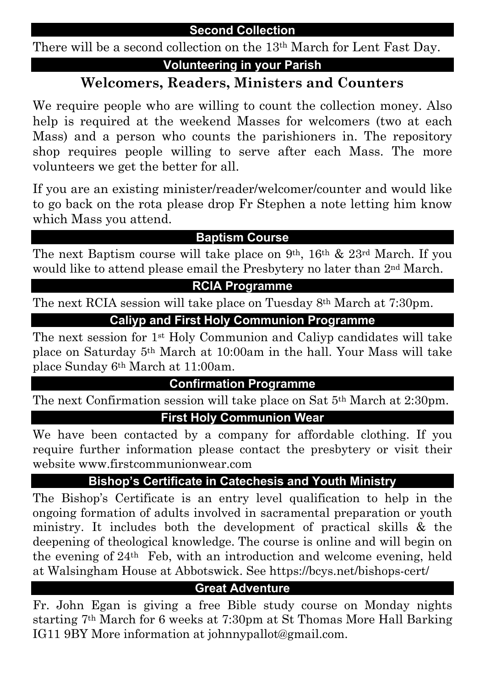# **Second Collection**

There will be a second collection on the 13th March for Lent Fast Day.

# **Volunteering in your Parish**

# **Welcomers, Readers, Ministers and Counters**

We require people who are willing to count the collection money. Also help is required at the weekend Masses for welcomers (two at each Mass) and a person who counts the parishioners in. The repository shop requires people willing to serve after each Mass. The more volunteers we get the better for all.

If you are an existing minister/reader/welcomer/counter and would like to go back on the rota please drop Fr Stephen a note letting him know which Mass you attend.

# **Baptism Course**

The next Baptism course will take place on 9th, 16th & 23rd March. If you would like to attend please email the Presbytery no later than 2nd March.

# **RCIA Programme**

The next RCIA session will take place on Tuesday 8<sup>th</sup> March at 7:30pm.

# **Caliyp and First Holy Communion Programme**

The next session for 1st Holy Communion and Caliyp candidates will take place on Saturday 5th March at 10:00am in the hall. Your Mass will take place Sunday 6th March at 11:00am.

# **Confirmation Programme**

The next Confirmation session will take place on Sat 5th March at 2:30pm.

# **First Holy Communion Wear**

We have been contacted by a company for affordable clothing. If you require further information please contact the presbytery or visit their website www.firstcommunionwear.com

# **Bishop's Certificate in Catechesis and Youth Ministry**

The Bishop's Certificate is an entry level qualification to help in the ongoing formation of adults involved in sacramental preparation or youth ministry. It includes both the development of practical skills & the deepening of theological knowledge. The course is online and will begin on the evening of 24th Feb, with an introduction and welcome evening, held at Walsingham House at Abbotswick. See https://bcys.net/bishops-cert/

# **Great Adventure**

Fr. John Egan is giving a free Bible study course on Monday nights starting 7th March for 6 weeks at 7:30pm at St Thomas More Hall Barking IG11 9BY More information at johnnypallot@gmail.com.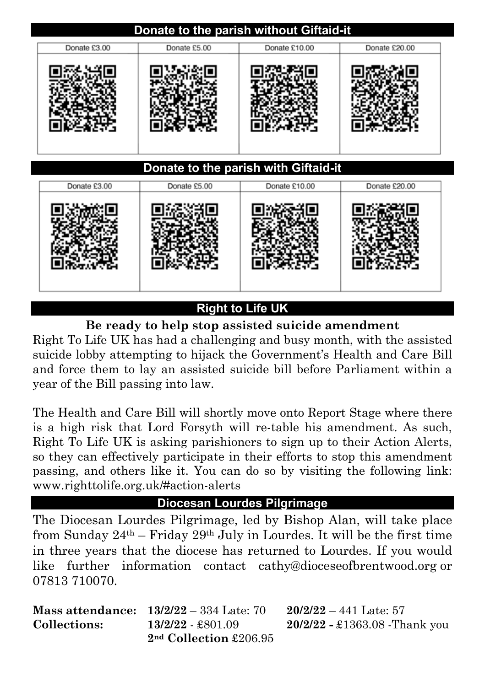# **Donate to the parish without Giftaid-it** Donate £3.00 Donate £5.00 Donate £10.00 Donate £20.00 **Donate to the parish with Giftaid-it**

| Donate £3.00 | Donate £5.00 | Donate £10.00 | Donate £20.00 |
|--------------|--------------|---------------|---------------|
|              |              |               |               |

# **Right to Life UK**

**Be ready to help stop assisted suicide amendment**

Right To Life UK has had a challenging and busy month, with the assisted suicide lobby attempting to hijack the Government's Health and Care Bill and force them to lay an assisted suicide bill before Parliament within a year of the Bill passing into law.

The Health and Care Bill will shortly move onto Report Stage where there is a high risk that Lord Forsyth will re-table his amendment. As such, Right To Life UK is asking parishioners to sign up to their Action Alerts, so they can effectively participate in their efforts to stop this amendment passing, and others like it. You can do so by visiting the following link: www.righttolife.org.uk/#action-alerts

# **Diocesan Lourdes Pilgrimage**

The Diocesan Lourdes Pilgrimage, led by Bishop Alan, will take place from Sunday  $24<sup>th</sup> - Friday 29<sup>th</sup> July in Lourdes. It will be the first time$ in three years that the diocese has returned to Lourdes. If you would like further information contact cathy@dioceseofbrentwood.org or 07813 710070.

|              | <b>Mass attendance:</b> $13/2/22 - 334$ Late: 70 | 20/2/ |
|--------------|--------------------------------------------------|-------|
| Collections: | $13/2/22 - $801.09$                              | 20/2/ |
|              | $2nd$ Collection £206.95                         |       |

**Mass attendance: 13/2/22** – 334 Late: 70 **20/2/22** – 441 Late: 57 **Collections: 13/2/22** - £801.09 **20/2/22 -** £1363.08 -Thank you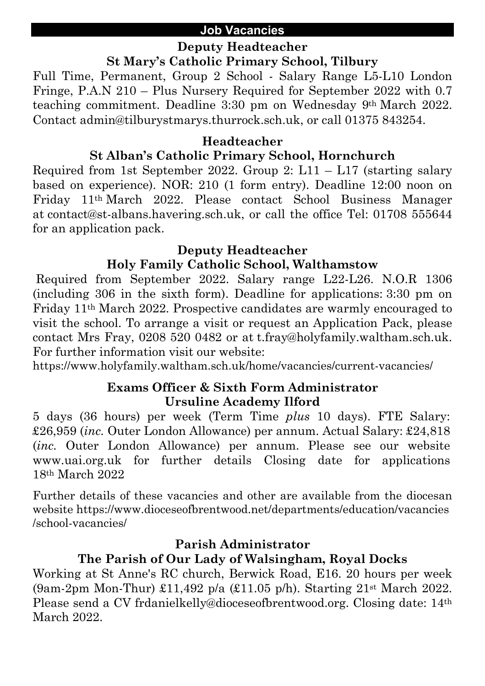#### **Job Vacancies**

# **Deputy Headteacher**

**St Mary's Catholic Primary School, Tilbury**

Full Time, Permanent, Group 2 School - Salary Range L5-L10 London Fringe, P.A.N 210 – Plus Nursery Required for September 2022 with 0.7 teaching commitment. Deadline 3:30 pm on Wednesday 9th March 2022. Contact admin@tilburystmarys.thurrock.sch.uk, or call 01375 843254.

#### **Headteacher**

# **St Alban's Catholic Primary School, Hornchurch**

Required from 1st September 2022. Group 2:  $L11 - L17$  (starting salary based on experience). NOR: 210 (1 form entry). Deadline 12:00 noon on Friday 11th March 2022. Please contact School Business Manager at contact@st-albans.havering.sch.uk, or call the office Tel: 01708 555644 for an application pack.

#### **Deputy Headteacher**

# **Holy Family Catholic School, Walthamstow**

Required from September 2022. Salary range L22-L26. N.O.R 1306 (including 306 in the sixth form). Deadline for applications: 3:30 pm on Friday 11th March 2022. Prospective candidates are warmly encouraged to visit the school. To arrange a visit or request an Application Pack, please contact Mrs Fray, 0208 520 0482 or at t.fray@holyfamily.waltham.sch.uk. For further information visit our website:

https://www.holyfamily.waltham.sch.uk/home/vacancies/current-vacancies/

# **Exams Officer & Sixth Form Administrator Ursuline Academy Ilford**

5 days (36 hours) per week (Term Time *plus* 10 days). FTE Salary: £26,959 (*inc.* Outer London Allowance) per annum. Actual Salary: £24,818 (*inc.* Outer London Allowance) per annum. Please see our website www.uai.org.uk for further details Closing date for applications 18th March 2022

Further details of these vacancies and other are available from the diocesan website https://www.dioceseofbrentwood.net/departments/education/vacancies /school-vacancies/

# **Parish Administrator**

# **The Parish of Our Lady of Walsingham, Royal Docks**

Working at St Anne's RC church, Berwick Road, E16. 20 hours per week (9am-2pm Mon-Thur) £11,492 p/a (£11.05 p/h). Starting 21st March 2022. Please send a CV frdanielkelly@dioceseofbrentwood.org. Closing date: 14th March 2022.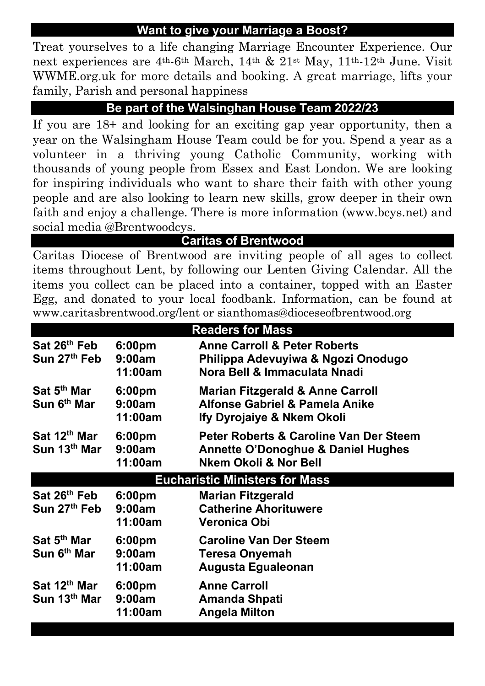# **Want to give your Marriage a Boost?**

Treat yourselves to a life changing Marriage Encounter Experience. Our next experiences are 4th-6th March, 14th & 21st May, 11th-12th June. Visit WWME.org.uk for more details and booking. A great marriage, lifts your family, Parish and personal happiness

# **Be part of the Walsinghan House Team 2022/23**

If you are 18+ and looking for an exciting gap year opportunity, then a year on the Walsingham House Team could be for you. Spend a year as a volunteer in a thriving young Catholic Community, working with thousands of young people from Essex and East London. We are looking for inspiring individuals who want to share their faith with other young people and are also looking to learn new skills, grow deeper in their own faith and enjoy a challenge. There is more information (www.bcys.net) and social media @Brentwoodcys.

#### **Caritas of Brentwood**

Caritas Diocese of Brentwood are inviting people of all ages to collect items throughout Lent, by following our Lenten Giving Calendar. All the items you collect can be placed into a container, topped with an Easter Egg, and donated to your local foodbank. Information, can be found at www.caritasbrentwood.org/lent or sianthomas@dioceseofbrentwood.org

| <b>Readers for Mass</b>                              |                                         |                                                                                                                             |  |
|------------------------------------------------------|-----------------------------------------|-----------------------------------------------------------------------------------------------------------------------------|--|
| Sat 26 <sup>th</sup> Feb<br>Sun 27 <sup>th</sup> Feb | 6:00 <sub>pm</sub><br>9:00am<br>11:00am | <b>Anne Carroll &amp; Peter Roberts</b><br>Philippa Adevuyiwa & Ngozi Onodugo<br>Nora Bell & Immaculata Nnadi               |  |
| Sat 5 <sup>th</sup> Mar<br>Sun 6 <sup>th</sup> Mar   | 6:00 <sub>pm</sub><br>9:00am<br>11:00am | <b>Marian Fitzgerald &amp; Anne Carroll</b><br>Alfonse Gabriel & Pamela Anike<br>Ify Dyrojaiye & Nkem Okoli                 |  |
| Sat 12 <sup>th</sup> Mar<br>Sun 13th Mar             | 6:00pm<br>9:00am<br>11:00am             | <b>Peter Roberts &amp; Caroline Van Der Steem</b><br><b>Annette O'Donoghue &amp; Daniel Hughes</b><br>Nkem Okoli & Nor Bell |  |
|                                                      |                                         | <b>Eucharistic Ministers for Mass</b>                                                                                       |  |
| Sat 26 <sup>th</sup> Feb<br>Sun 27th Feb             | 6:00 <sub>pm</sub><br>9:00am<br>11:00am | <b>Marian Fitzgerald</b><br><b>Catherine Ahorituwere</b><br>Veronica Obi                                                    |  |
| Sat 5 <sup>th</sup> Mar<br>Sun 6 <sup>th</sup> Mar   | 6:00 <sub>pm</sub><br>9:00am<br>11:00am | <b>Caroline Van Der Steem</b><br><b>Teresa Onyemah</b><br>Augusta Egualeonan                                                |  |
| Sat 12th Mar<br>Sun 13 <sup>th</sup> Mar             | 6:00 <sub>pm</sub><br>9:00am<br>11:00am | <b>Anne Carroll</b><br>Amanda Shpati<br><b>Angela Milton</b>                                                                |  |